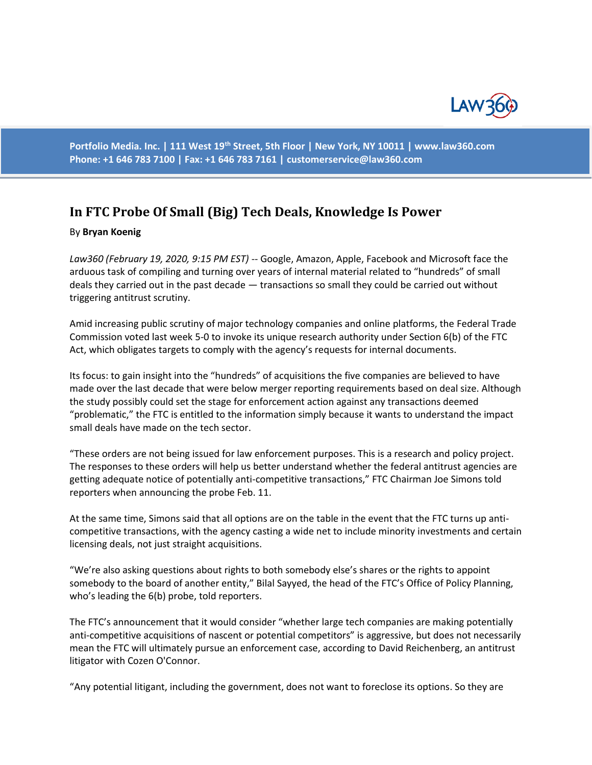

**Portfolio Media. Inc. | 111 West 19th Street, 5th Floor | New York, NY 10011 | www.law360.com Phone: +1 646 783 7100 | Fax: +1 646 783 7161 | [customerservice@law360.com](mailto:customerservice@law360.com)**

## **In FTC Probe Of Small (Big) Tech Deals, Knowledge Is Power**

## By **Bryan Koenig**

*Law360 (February 19, 2020, 9:15 PM EST)* -- Google, Amazon, Apple, Facebook and Microsoft face the arduous task of compiling and turning over years of internal material related to "hundreds" of small deals they carried out in the past decade — transactions so small they could be carried out without triggering antitrust scrutiny.

Amid increasing public scrutiny of major technology companies and online platforms, the Federal Trade Commission voted last week 5-0 to invoke its unique research authority under Section 6(b) of the FTC Act, which obligates targets to comply with the agency's requests for internal documents.

Its focus: to gain insight into the "hundreds" of acquisitions the five companies are believed to have made over the last decade that were below merger reporting requirements based on deal size. Although the study possibly could set the stage for enforcement action against any transactions deemed "problematic," the FTC is entitled to the information simply because it wants to understand the impact small deals have made on the tech sector.

"These orders are not being issued for law enforcement purposes. This is a research and policy project. The responses to these orders will help us better understand whether the federal antitrust agencies are getting adequate notice of potentially anti-competitive transactions," FTC Chairman Joe Simons told reporters when announcing the probe Feb. 11.

At the same time, Simons said that all options are on the table in the event that the FTC turns up anticompetitive transactions, with the agency casting a wide net to include minority investments and certain licensing deals, not just straight acquisitions.

"We're also asking questions about rights to both somebody else's shares or the rights to appoint somebody to the board of another entity," Bilal Sayyed, the head of the FTC's Office of Policy Planning, who's leading the 6(b) probe, told reporters.

The FTC's announcement that it would consider "whether large tech companies are making potentially anti-competitive acquisitions of nascent or potential competitors" is aggressive, but does not necessarily mean the FTC will ultimately pursue an enforcement case, according to David Reichenberg, an antitrust litigator with Cozen O'Connor.

"Any potential litigant, including the government, does not want to foreclose its options. So they are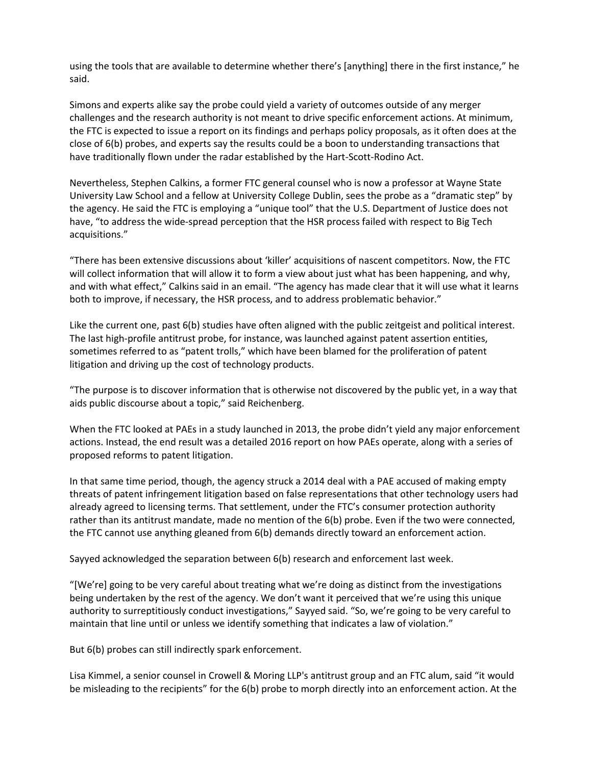using the tools that are available to determine whether there's [anything] there in the first instance," he said.

Simons and experts alike say the probe could yield a variety of outcomes outside of any merger challenges and the research authority is not meant to drive specific enforcement actions. At minimum, the FTC is expected to issue a report on its findings and perhaps policy proposals, as it often does at the close of 6(b) probes, and experts say the results could be a boon to understanding transactions that have traditionally flown under the radar established by the Hart-Scott-Rodino Act.

Nevertheless, Stephen Calkins, a former FTC general counsel who is now a professor at Wayne State University Law School and a fellow at University College Dublin, sees the probe as a "dramatic step" by the agency. He said the FTC is employing a "unique tool" that the U.S. Department of Justice does not have, "to address the wide-spread perception that the HSR process failed with respect to Big Tech acquisitions."

"There has been extensive discussions about 'killer' acquisitions of nascent competitors. Now, the FTC will collect information that will allow it to form a view about just what has been happening, and why, and with what effect," Calkins said in an email. "The agency has made clear that it will use what it learns both to improve, if necessary, the HSR process, and to address problematic behavior."

Like the current one, past 6(b) studies have often aligned with the public zeitgeist and political interest. The last high-profile antitrust probe, for instance, was launched against patent assertion entities, sometimes referred to as "patent trolls," which have been blamed for the proliferation of patent litigation and driving up the cost of technology products.

"The purpose is to discover information that is otherwise not discovered by the public yet, in a way that aids public discourse about a topic," said Reichenberg.

When the FTC looked at PAEs in a study launched in 2013, the probe didn't yield any major enforcement actions. Instead, the end result was a detailed 2016 report on how PAEs operate, along with a series of proposed reforms to patent litigation.

In that same time period, though, the agency struck a 2014 deal with a PAE accused of making empty threats of patent infringement litigation based on false representations that other technology users had already agreed to licensing terms. That settlement, under the FTC's consumer protection authority rather than its antitrust mandate, made no mention of the 6(b) probe. Even if the two were connected, the FTC cannot use anything gleaned from 6(b) demands directly toward an enforcement action.

Sayyed acknowledged the separation between 6(b) research and enforcement last week.

"[We're] going to be very careful about treating what we're doing as distinct from the investigations being undertaken by the rest of the agency. We don't want it perceived that we're using this unique authority to surreptitiously conduct investigations," Sayyed said. "So, we're going to be very careful to maintain that line until or unless we identify something that indicates a law of violation."

But 6(b) probes can still indirectly spark enforcement.

Lisa Kimmel, a senior counsel in Crowell & Moring LLP's antitrust group and an FTC alum, said "it would be misleading to the recipients" for the 6(b) probe to morph directly into an enforcement action. At the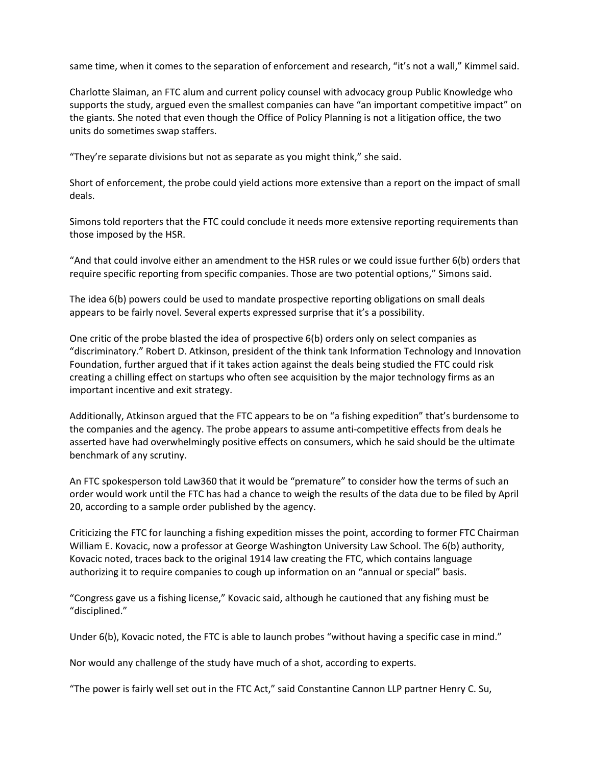same time, when it comes to the separation of enforcement and research, "it's not a wall," Kimmel said.

Charlotte Slaiman, an FTC alum and current policy counsel with advocacy group Public Knowledge who supports the study, argued even the smallest companies can have "an important competitive impact" on the giants. She noted that even though the Office of Policy Planning is not a litigation office, the two units do sometimes swap staffers.

"They're separate divisions but not as separate as you might think," she said.

Short of enforcement, the probe could yield actions more extensive than a report on the impact of small deals.

Simons told reporters that the FTC could conclude it needs more extensive reporting requirements than those imposed by the HSR.

"And that could involve either an amendment to the HSR rules or we could issue further 6(b) orders that require specific reporting from specific companies. Those are two potential options," Simons said.

The idea 6(b) powers could be used to mandate prospective reporting obligations on small deals appears to be fairly novel. Several experts expressed surprise that it's a possibility.

One critic of the probe blasted the idea of prospective 6(b) orders only on select companies as "discriminatory." Robert D. Atkinson, president of the think tank Information Technology and Innovation Foundation, further argued that if it takes action against the deals being studied the FTC could risk creating a chilling effect on startups who often see acquisition by the major technology firms as an important incentive and exit strategy.

Additionally, Atkinson argued that the FTC appears to be on "a fishing expedition" that's burdensome to the companies and the agency. The probe appears to assume anti-competitive effects from deals he asserted have had overwhelmingly positive effects on consumers, which he said should be the ultimate benchmark of any scrutiny.

An FTC spokesperson told Law360 that it would be "premature" to consider how the terms of such an order would work until the FTC has had a chance to weigh the results of the data due to be filed by April 20, according to a sample order published by the agency.

Criticizing the FTC for launching a fishing expedition misses the point, according to former FTC Chairman William E. Kovacic, now a professor at George Washington University Law School. The 6(b) authority, Kovacic noted, traces back to the original 1914 law creating the FTC, which contains language authorizing it to require companies to cough up information on an "annual or special" basis.

"Congress gave us a fishing license," Kovacic said, although he cautioned that any fishing must be "disciplined."

Under 6(b), Kovacic noted, the FTC is able to launch probes "without having a specific case in mind."

Nor would any challenge of the study have much of a shot, according to experts.

"The power is fairly well set out in the FTC Act," said Constantine Cannon LLP partner Henry C. Su,